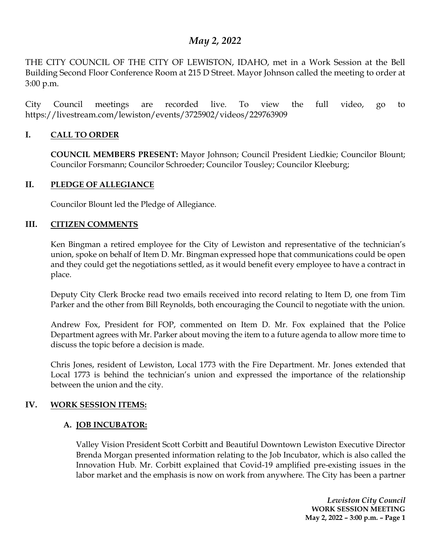# *May 2, 2022*

THE CITY COUNCIL OF THE CITY OF LEWISTON, IDAHO, met in a Work Session at the Bell Building Second Floor Conference Room at 215 D Street. Mayor Johnson called the meeting to order at 3:00 p.m.

City Council meetings are recorded live. To view the full video, go to https://livestream.com/lewiston/events/3725902/videos/229763909

# **I. CALL TO ORDER**

**COUNCIL MEMBERS PRESENT:** Mayor Johnson; Council President Liedkie; Councilor Blount; Councilor Forsmann; Councilor Schroeder; Councilor Tousley; Councilor Kleeburg;

## **II. PLEDGE OF ALLEGIANCE**

Councilor Blount led the Pledge of Allegiance.

#### **III. CITIZEN COMMENTS**

Ken Bingman a retired employee for the City of Lewiston and representative of the technician's union, spoke on behalf of Item D. Mr. Bingman expressed hope that communications could be open and they could get the negotiations settled, as it would benefit every employee to have a contract in place.

Deputy City Clerk Brocke read two emails received into record relating to Item D, one from Tim Parker and the other from Bill Reynolds, both encouraging the Council to negotiate with the union.

Andrew Fox, President for FOP, commented on Item D. Mr. Fox explained that the Police Department agrees with Mr. Parker about moving the item to a future agenda to allow more time to discuss the topic before a decision is made.

Chris Jones, resident of Lewiston, Local 1773 with the Fire Department. Mr. Jones extended that Local 1773 is behind the technician's union and expressed the importance of the relationship between the union and the city.

## **IV. WORK SESSION ITEMS:**

## **A. JOB INCUBATOR:**

Valley Vision President Scott Corbitt and Beautiful Downtown Lewiston Executive Director Brenda Morgan presented information relating to the Job Incubator, which is also called the Innovation Hub. Mr. Corbitt explained that Covid-19 amplified pre-existing issues in the labor market and the emphasis is now on work from anywhere. The City has been a partner

> *Lewiston City Council* **WORK SESSION MEETING May 2, 2022 – 3:00 p.m. – Page 1**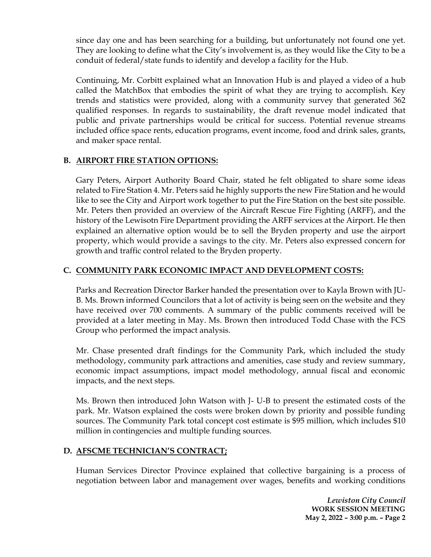since day one and has been searching for a building, but unfortunately not found one yet. They are looking to define what the City's involvement is, as they would like the City to be a conduit of federal/state funds to identify and develop a facility for the Hub.

Continuing, Mr. Corbitt explained what an Innovation Hub is and played a video of a hub called the MatchBox that embodies the spirit of what they are trying to accomplish. Key trends and statistics were provided, along with a community survey that generated 362 qualified responses. In regards to sustainability, the draft revenue model indicated that public and private partnerships would be critical for success. Potential revenue streams included office space rents, education programs, event income, food and drink sales, grants, and maker space rental.

# **B. AIRPORT FIRE STATION OPTIONS:**

Gary Peters, Airport Authority Board Chair, stated he felt obligated to share some ideas related to Fire Station 4. Mr. Peters said he highly supports the new Fire Station and he would like to see the City and Airport work together to put the Fire Station on the best site possible. Mr. Peters then provided an overview of the Aircraft Rescue Fire Fighting (ARFF), and the history of the Lewisotn Fire Department providing the ARFF services at the Airport. He then explained an alternative option would be to sell the Bryden property and use the airport property, which would provide a savings to the city. Mr. Peters also expressed concern for growth and traffic control related to the Bryden property.

# **C. COMMUNITY PARK ECONOMIC IMPACT AND DEVELOPMENT COSTS:**

Parks and Recreation Director Barker handed the presentation over to Kayla Brown with JU-B. Ms. Brown informed Councilors that a lot of activity is being seen on the website and they have received over 700 comments. A summary of the public comments received will be provided at a later meeting in May. Ms. Brown then introduced Todd Chase with the FCS Group who performed the impact analysis.

Mr. Chase presented draft findings for the Community Park, which included the study methodology, community park attractions and amenities, case study and review summary, economic impact assumptions, impact model methodology, annual fiscal and economic impacts, and the next steps.

Ms. Brown then introduced John Watson with J- U-B to present the estimated costs of the park. Mr. Watson explained the costs were broken down by priority and possible funding sources. The Community Park total concept cost estimate is \$95 million, which includes \$10 million in contingencies and multiple funding sources.

## **D. AFSCME TECHNICIAN'S CONTRACT;**

Human Services Director Province explained that collective bargaining is a process of negotiation between labor and management over wages, benefits and working conditions

> *Lewiston City Council* **WORK SESSION MEETING May 2, 2022 – 3:00 p.m. – Page 2**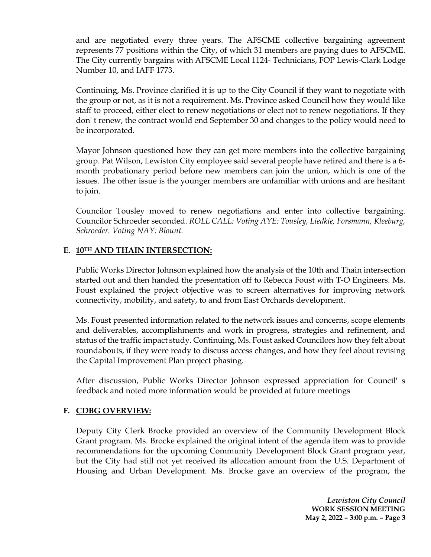and are negotiated every three years. The AFSCME collective bargaining agreement represents 77 positions within the City, of which 31 members are paying dues to AFSCME. The City currently bargains with AFSCME Local 1124- Technicians, FOP Lewis-Clark Lodge Number 10, and IAFF 1773.

Continuing, Ms. Province clarified it is up to the City Council if they want to negotiate with the group or not, as it is not a requirement. Ms. Province asked Council how they would like staff to proceed, either elect to renew negotiations or elect not to renew negotiations. If they don' t renew, the contract would end September 30 and changes to the policy would need to be incorporated.

Mayor Johnson questioned how they can get more members into the collective bargaining group. Pat Wilson, Lewiston City employee said several people have retired and there is a 6 month probationary period before new members can join the union, which is one of the issues. The other issue is the younger members are unfamiliar with unions and are hesitant to join.

Councilor Tousley moved to renew negotiations and enter into collective bargaining. Councilor Schroeder seconded. *ROLL CALL: Voting AYE: Tousley, Liedkie, Forsmann, Kleeburg, Schroeder. Voting NAY: Blount.*

# **E. 10TH AND THAIN INTERSECTION:**

Public Works Director Johnson explained how the analysis of the 10th and Thain intersection started out and then handed the presentation off to Rebecca Foust with T-O Engineers. Ms. Foust explained the project objective was to screen alternatives for improving network connectivity, mobility, and safety, to and from East Orchards development.

Ms. Foust presented information related to the network issues and concerns, scope elements and deliverables, accomplishments and work in progress, strategies and refinement, and status of the traffic impact study. Continuing, Ms. Foust asked Councilors how they felt about roundabouts, if they were ready to discuss access changes, and how they feel about revising the Capital Improvement Plan project phasing.

After discussion, Public Works Director Johnson expressed appreciation for Council' s feedback and noted more information would be provided at future meetings

## **F. CDBG OVERVIEW:**

Deputy City Clerk Brocke provided an overview of the Community Development Block Grant program. Ms. Brocke explained the original intent of the agenda item was to provide recommendations for the upcoming Community Development Block Grant program year, but the City had still not yet received its allocation amount from the U.S. Department of Housing and Urban Development. Ms. Brocke gave an overview of the program, the

> *Lewiston City Council* **WORK SESSION MEETING May 2, 2022 – 3:00 p.m. – Page 3**